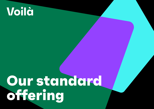# Voilà

# **Our standard offering**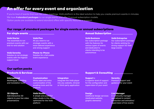# **An offer for every event and organization**

If you're tired of events that look like video meetings, Voilà platform is the ideal solution to help you create premium events in minutes. We have **4 standard packages** to run single events and offer 2 annual subscription models. Option packs are available to extend standard offers with specific features or support.

### **Our range of standard packages for single events or annual subscriptions**

#### **For single events**

#### Voilà Starter

The essentials to run premium events with our end-to-end solution

#### Voilà Serenity

Solution to run strategic events with the highest support level

**Phone-to-Phone** and autonomous autonomous and autonomous autonomous and autonomous autonomous and autonomous autonomous and autonomous autonomous autonomous autonomous autonomous autonomous autonomous autonomous autonomou Solution for a full mobile event experience

Voilà Plus

All you need to run strategic events with a more tailored experience and strong support

#### **Annual Subscription**

#### Voilà Business

Our subscription package with the features for various types of events and dedicated to clients intending to be

#### Voilà Entreprise

Our subscription package for clients wishing for strong support for their large events

## **Our option packs**

#### International Multilingual, subtitling and translation tools

### 3D Objects

Add interactive 3D objects to your live video presentations

#### Customization White label and extra customization of the emailing tools and the

#### Voilà Studio

platform

A simple and powerful video studio in the cloud optimized for the Voilà platform

#### **Integration**

Integrate the Voilà player into any website, intranet or third-party application

#### **Products & Services Support & Consulting**

#### Support +

A superior level of support for the configuration and supervision of your event

#### **Design**

Additional design services (dedicated website, graphic elements)

#### **Serenity**

Premium support and guidance for your event

#### Live Manager

A community manager specialized in content production and animation/ supervision of live events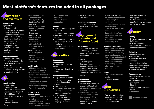# **Most platform's features included in all packages**



#### Invitation and registration

- Invitation emails
- Registration of participants (single or grouped)
- Differentiated registration (face-to-face / remote)
- Email marketing (via our partner Epsilon)
- Email campaign management tools (individual or batch): sending, recovery, statistics

#### Dedicated website

- Responsive landing page • Presentation page of the event (content, sessions,
- speakers) • Integration of the Voilà Player on a third-party site

or application (iframe)



#### Live streaming

- Multisessions (simultaneously)
- Live or pre-recorded event
- Encoding from SD to Full HD (8.5 Mbps max)
- Adaptive Streaming (HLS/ ABR)
- Low latency
- Responsive Media Player
- Media Player Color Customization • Display modes: 16/9 (landscape) or 9/16
- (portrait) • Event in «phone-to-
- phone only» mode • Automatic
- transcription (speech-to-text)
- Automatic live translation
- Multilingual
- Vélotypie (tool integrated into the platform)
- Backup stream
- Multi-site / Multi speakers
- Slides + 1 presenter
- 2 presenters at the same time

#### Voilà Studio

- Video console for the realization of live events
- Management of live streams and other content (pre-recorded video, text, images)
- Composition (example: document + videos, several videostreams)
- Run of show scripts

#### Voilà Camera on Smartphone

- Instant video capture and broadcast application on the Voilà platform
- Advanced features (video quality, camera inversion,
- PTZ camera, lens selection) • iOS and Android
- compatible

#### Replay

- Available immediately after the event
- Recording video sources
- Download video files for editing
- Selection of video files for replay availability on the event site
- 30 days standard duration (other optional)

# **Back office**

#### User account management

- Event team / Organizer profile
- Temporary delegation of access

#### Event management

- Easy creation of events • Services configuration:
- formats, interactions, display
- Live monitoring
- Activation/Deactivation of services during the live
- Question moderation
- Multi-languages (Backoffice and event site): FR / EN ; other languages in option

• Service messages to **Participant** 

#### Speaker management

- Creation of profiles
- Showcase on the event site

## **Engagement (remote and face-to-face)**

#### Interactions

- Group chat per session • Questions (anonymous mode / nominative mode)
- Moderation
- Quiz
- Emojiis
- Overlay display
- Extended screen remotely - Deportation of interactions on mobile
- Extended screen in person - Access to interactions on mobile

#### Branding and personalization

- Personalization of emails (predefined template) • Advanced personalization
- of emails • Personalization of the sender's email address
- Customization of the event site in a predefined template (logo, images, banner, color…)
- Emojis customization
- Advanced customization (colors and player functions)
- Completely personalized dedicated site
- Custom URL and domain name
- Customization of the registration form (in a template)
- White label no label powered by Voilà

#### 3D objects integration

- Integration of 3D objects directly in the video, the object can be piloted by each remote participant
- Easy set-up and upload of the 3D product details
- Insertion of clickable link directing to more information on the products

#### **Others**

- Compatible with social media
- Breakout sessions



• Real-time data (audience, video source metrics) • Post-event dashboard (audience timeline,

#### reactions, questions, messages)

• Custom Dashboards Satisfaction survey (at the end of the session)



#### **Privacy**

- Data and platforms hosted in Europe
- GDPR compliance Automatic deletion of data (contractual period)

#### Reliability

- Redundant Hosting
- SLO: 99.5%

Access control

administrators • Unique token per participant • Firewall

(MagicLink) • Client SSO

- Automatic restart of services
- Auto-scaling solution

• Real-time system uptime monitoring and alerts • Antiviral protection

• Double authentication for

• Simplified authentication

Optional features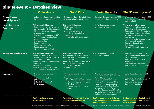# **Single event – Detailed view**

|                                          | <b>Voilà starter</b>                                                                                                                                                                                                                                                                                                                                                                    | <b>Voilà Plus</b>                                                                                                                                                                                                                                                            | <b>Voilà Serenity</b>                                                                                                                                                                                                                                                                                                                                                                             | The "Phone to phone"                                                                                                                                                                                                                                                                                                                                                                         |
|------------------------------------------|-----------------------------------------------------------------------------------------------------------------------------------------------------------------------------------------------------------------------------------------------------------------------------------------------------------------------------------------------------------------------------------------|------------------------------------------------------------------------------------------------------------------------------------------------------------------------------------------------------------------------------------------------------------------------------|---------------------------------------------------------------------------------------------------------------------------------------------------------------------------------------------------------------------------------------------------------------------------------------------------------------------------------------------------------------------------------------------------|----------------------------------------------------------------------------------------------------------------------------------------------------------------------------------------------------------------------------------------------------------------------------------------------------------------------------------------------------------------------------------------------|
| <b>Duration and</b><br>participants $\#$ | • Unique participants included <sup>1</sup> : 500<br>• Event duration included: 1/2 day                                                                                                                                                                                                                                                                                                 | • Unique participants included <sup>1</sup> : 1000<br>• Event duration included: 1 day                                                                                                                                                                                       | • Unique participants included <sup>1</sup> : 1000<br>• Event duration included: 1 day                                                                                                                                                                                                                                                                                                            | • Unique participants included <sup>1</sup> : 1000<br>• Event duration included: 1h<br>(can split in 3)                                                                                                                                                                                                                                                                                      |
| Key platform<br>features                 | All the essential features<br>• Registration, mailing & event site<br>• Low latency full HD video streaming<br>• Management of participants,<br>organizers<br>• Interactivity / engagement: Q&A,<br>emoticons, quiz, moderation,<br>extended screens<br>• Live supervision<br>• Breakout rooms<br>• Replay for 1 month (max)<br>• Data & analytics<br>• All required security & privacy | The essential features +<br>• Multilingual options<br>• Vélotypie<br>• Automatic translations<br>• Capacity to integrate into any<br>website (iframe)<br>• Compatibility with social media <sup>4</sup>                                                                      | • Similar features compared<br>to strategic events                                                                                                                                                                                                                                                                                                                                                | The phone-to-phone pack<br>• Access to the iphone & android<br>application to film the event<br>• Registration, mailing & event site<br>• Video: Streaming with low latency,<br>• Management of participants,<br>organizers<br>• Interactivity and engagement: Q&A,<br>Emoticons, quiz, moderation,<br>• Replay for 1 month (max)<br>• Data & analytics<br>• All required security & privacy |
| <b>Personalization level</b>             | All the essential features<br>• Websites (event & registration)<br>at the color of the brand (banner,<br>logo, favicon, colors)<br>• Websites personalization within a<br>template<br>• Emojis customization<br>• Interactive features activation /<br>deactivation inc. during the live                                                                                                | The essential features +<br>• White label - No « Voilà » naming<br>• Highest level of customization<br>for the player<br>• Email with a specific domain name <sup>3</sup><br><b>Customization of the URL</b><br>& domain of the registration<br>& event sites <sup>3,5</sup> | • Similar features compared<br>to strategic events                                                                                                                                                                                                                                                                                                                                                | • Sites (event & registration) at the<br>color of the brand (banner, logo,<br>favicon, colors)<br>· Sites personalization within<br>a template<br>• Interactive features activation /<br>deactivation inc. during the live                                                                                                                                                                   |
| Support                                  | • General assistance via email<br>& phone<br>• Training to the platform<br>(4 hours: 2X2)<br>• Debrief after the event<br>• Other support optional                                                                                                                                                                                                                                      | $\bullet$ General assistance via email<br>and phone<br>• Support for organizers<br>- Support for set-up & preparation<br>of the event (equivalent 2 days)<br>- Tech rehearsal 1h<br>- Live supervision & moderation<br>(remote)                                              | • General assistance via email and<br>phone with highest level of priority<br>• Support for organizers<br>- Project Manager time to set-<br>up the platform and assist the<br>preparation (5 days remotely)<br>- Live supervision & moderation<br>(on-site when within Paris)<br>- Technical director available for the<br>test and onsite in Paris for the event<br>• Dedicated attendee support | • General assistance via email &<br>phone<br>• Training to the platform (4 hours:<br>2X2) + support during event<br>• Debrief after the event<br>• Other support optional                                                                                                                                                                                                                    |
|                                          | <b>Perfect for internal event</b><br>with employees                                                                                                                                                                                                                                                                                                                                     | Perfect for an event with the top<br>employees or some clients                                                                                                                                                                                                               | Perfect for an event with the top<br>1000 management or key clients<br>(with full serenity)                                                                                                                                                                                                                                                                                                       | Perfect for more intimate & short<br>communication or for a live tour<br>in an exhibition                                                                                                                                                                                                                                                                                                    |

1. In total over the course of the event 2. Other locations on request 3. depending on technical constraints 4. Available from October 5. Event website available from October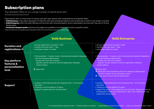# **Subscription plans**

Two standard offers to run a large number of events each year

Organizations that run many event of various size each year require more comprehensive and flexible offers.

- Voilà Business is the yearly equivalent of Voilà Plus with extra enterprise features such as SSO and no limit on the number of events.
- **Voilà Entreprise** offers the same features and services with more participants, extra customization services and<sup>1</sup> free use of 3D and Studio packs
- Technical & Support packs (previous two pages) are available to increase quality level on specific events

These two offers are our standard annual subscription offers and can be further customized to fit your needs

| <b>Duration and</b><br>registrations #                                                                                                                                                 | • Annual registrations included <sup>1</sup> : 2 000<br>• Duration max per event : 1 day<br>• Unlimited number of events                                                                                                                                                  | • Annual registrations included <sup>1</sup> : 5 000<br>• Duration max per event : 1 day<br>· Unlimited number of events                                                                                                                                                                                                                                                                                                                |  |
|----------------------------------------------------------------------------------------------------------------------------------------------------------------------------------------|---------------------------------------------------------------------------------------------------------------------------------------------------------------------------------------------------------------------------------------------------------------------------|-----------------------------------------------------------------------------------------------------------------------------------------------------------------------------------------------------------------------------------------------------------------------------------------------------------------------------------------------------------------------------------------------------------------------------------------|--|
| Key platform<br>features &<br>personalization<br>level                                                                                                                                 | • The essentials + 3 packs (custo, international & website integration<br>with the following adjustments:<br>- Emails sent from your domain <sup>3</sup><br>- Specific domain names for event & registration websites<br>remain options<br>$\div$ Client SSO <sup>4</sup> | • The essentials + 3 packs (custo, international & website integration)<br>with the following adjustments:<br>- Emails sent from your domain <sup>3</sup><br>- Specific domain names for event & registration websites<br>remain options<br>+ Client SSO <sup>3</sup><br>+ Dedicated Client template built for the websites (Registration<br>& event) to better fit your branding charter<br>+ 1 free use of the 3D and the Studio pack |  |
| • Contact: chat/chatbot/email and response time < 5 min during<br>the event<br><b>Support</b><br>• Training to use the platform (3 days)<br>Support to supervision for the first event |                                                                                                                                                                                                                                                                           | • Contact: chat/chatbot/email and response time < 5 min during<br>the event<br>. Training to use the platform (3 days)<br>• Support for event > 500 registrants and 1st event: Support for set-up<br>& preparation of the event (equivalent 1 day), Tech rehearsal 1h, live<br>supervision during event                                                                                                                                 |  |

**Voilà Business Voilà Entreprise**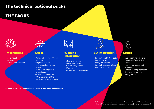# **The technical optional packs**

# **THE PACKS**



## **International**

- Multilingual
- Velotyping
- Automatic translation



## **Custo.**

- White label No « Voilà » naming
- Highest level of customization for the player
- Email with a specific domain name
- Customization of the URL & domain of the registration & event sites<sup>2</sup>



## **Website Integration**

- Integration of the interactive player in a third-party site (in iFrame)1
- Further option: SSO client



## **3D integration**

- Integration of 3D objects into your event
- Every participant can interact (zoom or rotate) with the 3D object



# **Studio**

- Live streaming studio to combine different video streams
- Insert logo, colors and overlays
- Support in the preparation (2 days of work) and during the event

Included in Voilà Plus and Voilà Serenity and in both subscription formula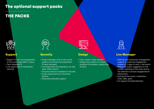# **The optional support packs**

# **THE PACKS**



# **Support**

- Support for set-up & preparation of the event (equivalent 2 days)
- Tech rehearsal 1h
- Live supervision & moderation (remote)



## **Serenity**

- Project Manager time to set-up the platform and assist the preparation (5 days remotely)
- Live supervision & moderation (on-site when within Paris1)
- Technical director available for the test
- Onsite supervision by a technical director
- Dedicated attendee support



# **Design**

- Fully custom-made website
- Design and creation of emojis, proposal of template, copywriting of texts



## **Live Manager**

- Editorial and community management support to maximize engagement (based on 2 days of work + the event)
- Before the event: suggestion to the course / planning of the event and to the editorial to ensure engagement & interactivity
- During the live event, moderation (chat, Q&A, quiz)
- On request full editorialization